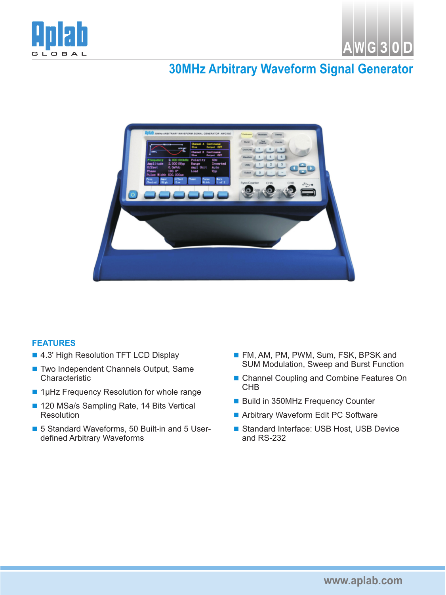



## **30MHz Arbitrary Waveform Signal Generator**



## **FEA TURES**

- 4.3' High Resolution TFT LCD Display
- Two Independent Channels Output, Same Characteristic
- 1µHz Frequency Resolution for whole range
- 120 MSa/s Sampling Rate, 14 Bits Vertical Resolution
- 5 Standard Waveforms, 50 Built-in and 5 Userdefined Arbitrary Waveforms
- FM, AM, PM, PWM, Sum, FSK, BPSK and SUM Modulation, Sweep and Burst Function
- Channel Coupling and Combine Features On CHB
- Build in 350MHz Frequency Counter
- Arbitrary Waveform Edit PC Software
- Standard Interface: USB Host, USB Device and RS-232